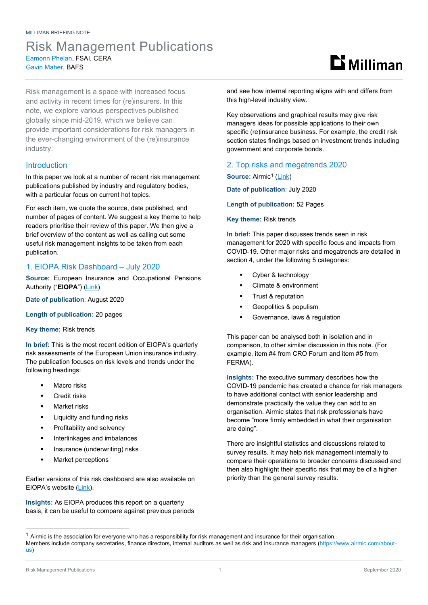# Risk Management Publications Eamonn Phelan, FSAI, CERA Gavin Maher, BAFS

Risk management is a space with increased focus and activity in recent times for (re)insurers. In this note, we explore various perspectives published globally since mid-2019, which we believe can provide important considerations for risk managers in the ever-changing environment of the (re)insurance industry.

### **Introduction**

In this paper we look at a number of recent risk management publications published by industry and regulatory bodies, with a particular focus on current hot topics.

For each item, we quote the source, date published, and number of pages of content. We suggest a key theme to help readers prioritise their review of this paper. We then give a brief overview of the content as well as calling out some useful risk management insights to be taken from each publication.

### 1. EIOPA Risk Dashboard – July 2020

**Source:** European Insurance and Occupational Pensions Authority ("**EIOPA**") [\(Link\)](https://www.eiopa.europa.eu/tools-and-data/risk-dashboard)

**Date of publication**: August 2020

#### **Length of publication:** 20 pages

#### **Key theme:** Risk trends

**In brief:** This is the most recent edition of EIOPA's quarterly risk assessments of the European Union insurance industry. The publication focuses on risk levels and trends under the following headings:

- Macro risks
- Credit risks
- Market risks
- Liquidity and funding risks
- Profitability and solvency
- Interlinkages and imbalances
- **Insurance (underwriting) risks**
- Market perceptions

Earlier versions of this risk dashboard are also available on EIOPA's website [\(Link\)](https://www.eiopa.europa.eu/risk-dashboards-previous-publications).

**Insights:** As EIOPA produces this report on a quarterly basis, it can be useful to compare against previous periods  $\mathbf{B}$  Milliman

and see how internal reporting aligns with and differs from this high-level industry view.

Key observations and graphical results may give risk managers ideas for possible applications to their own specific (re)insurance business. For example, the credit risk section states findings based on investment trends including government and corporate bonds.

#### 2. Top risks and megatrends 2020

**Source:** Airmic<sup>[1](#page-0-0)</sup> [\(Link\)](https://www.airmic.com/technical/library/top-risks-and-megatrends-2020)

**Date of publication**: July 2020

**Length of publication:** 52 Pages

#### **Key theme:** Risk trends

**In brief:** This paper discusses trends seen in risk management for 2020 with specific focus and impacts from COVID-19. Other major risks and megatrends are detailed in section 4, under the following 5 categories:

- Cyber & technology
- Climate & environment
- Trust & reputation
- Geopolitics & populism
- Governance, laws & regulation

This paper can be analysed both in isolation and in comparison, to other similar discussion in this note. (For example, item #4 from CRO Forum and item #5 from FERMA).

**Insights:** The executive summary describes how the COVID-19 pandemic has created a chance for risk managers to have additional contact with senior leadership and demonstrate practically the value they can add to an organisation. Airmic states that risk professionals have become "more firmly embedded in what their organisation are doing".

There are insightful statistics and discussions related to survey results. It may help risk management internally to compare their operations to broader concerns discussed and then also highlight their specific risk that may be of a higher priority than the general survey results.

<span id="page-0-0"></span> $1$  Airmic is the association for everyone who has a responsibility for risk management and insurance for their organisation.

Members include company secretaries, finance directors, internal auditors as well as risk and insurance managers [\(https://www.airmic.com/about](https://www.airmic.com/about-us)[us\)](https://www.airmic.com/about-us)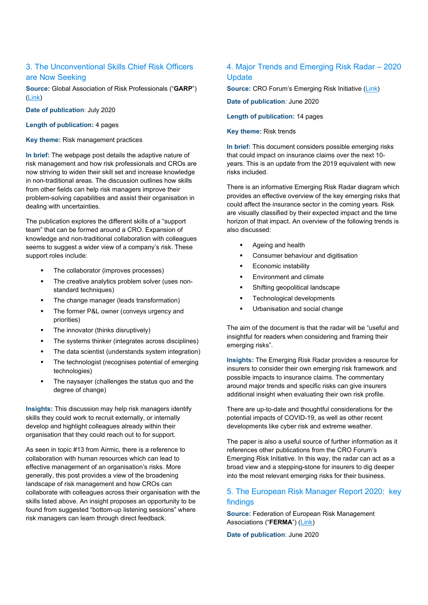## 3. The Unconventional Skills Chief Risk Officers are Now Seeking

**Source:** Global Association of Risk Professionals ("**GARP**") [\(Link\)](https://www.garp.org/#!/risk-intelligence/operational/all/a1Z1W000005VpPGUA0)

**Date of publication**: July 2020

**Length of publication:** 4 pages

**Key theme:** Risk management practices

**In brief:** The webpage post details the adaptive nature of risk management and how risk professionals and CROs are now striving to widen their skill set and increase knowledge in non-traditional areas. The discussion outlines how skills from other fields can help risk managers improve their problem-solving capabilities and assist their organisation in dealing with uncertainties.

The publication explores the different skills of a "support team" that can be formed around a CRO. Expansion of knowledge and non-traditional collaboration with colleagues seems to suggest a wider view of a company's risk. These support roles include:

- The collaborator (improves processes)
- The creative analytics problem solver (uses nonstandard techniques)
- The change manager (leads transformation)
- The former P&L owner (conveys urgency and priorities)
- The innovator (thinks disruptively)
- The systems thinker (integrates across disciplines)
- The data scientist (understands system integration)
- The technologist (recognises potential of emerging technologies)
- The naysayer (challenges the status quo and the degree of change)

**Insights:** This discussion may help risk managers identify skills they could work to recruit externally, or internally develop and highlight colleagues already within their organisation that they could reach out to for support.

As seen in topic #13 from Airmic, there is a reference to collaboration with human resources which can lead to effective management of an organisation's risks. More generally, this post provides a view of the broadening landscape of risk management and how CROs can collaborate with colleagues across their organisation with the skills listed above. An insight proposes an opportunity to be found from suggested "bottom-up listening sessions" where risk managers can learn through direct feedback.

### 4. Major Trends and Emerging Risk Radar – 2020 **Update**

**Source: CRO Forum's Emerging Risk Initiative [\(Link\)](https://www.thecroforum.org/2020/06/30/emerging-risk-initiative-major-trends-and-emerging-risk-radar-2020-update/)** 

**Date of publication***:* June 2020

**Length of publication:** 14 pages

**Key theme:** Risk trends

**In brief:** This document considers possible emerging risks that could impact on insurance claims over the next 10 years. This is an update from the 2019 equivalent with new risks included.

There is an informative Emerging Risk Radar diagram which provides an effective overview of the key emerging risks that could affect the insurance sector in the coming years. Risk are visually classified by their expected impact and the time horizon of that impact. An overview of the following trends is also discussed:

- Ageing and health
- **•** Consumer behaviour and digitisation
- Economic instability
- Environment and climate
- Shifting geopolitical landscape
- Technological developments
- Urbanisation and social change

The aim of the document is that the radar will be "useful and insightful for readers when considering and framing their emerging risks".

**Insights:** The Emerging Risk Radar provides a resource for insurers to consider their own emerging risk framework and possible impacts to insurance claims. The commentary around major trends and specific risks can give insurers additional insight when evaluating their own risk profile.

There are up-to-date and thoughtful considerations for the potential impacts of COVID-19, as well as other recent developments like cyber risk and extreme weather.

The paper is also a useful source of further information as it references other publications from the CRO Forum's Emerging Risk Initiative. In this way, the radar can act as a broad view and a stepping-stone for insurers to dig deeper into the most relevant emerging risks for their business.

### 5. The European Risk Manager Report 2020: key findings

**Source:** Federation of European Risk Management Associations ("**FERMA**") [\(Link\)](https://www.ferma.eu/publication/the-european-risk-manager-report-2020-key-findings/)

**Date of publication**: June 2020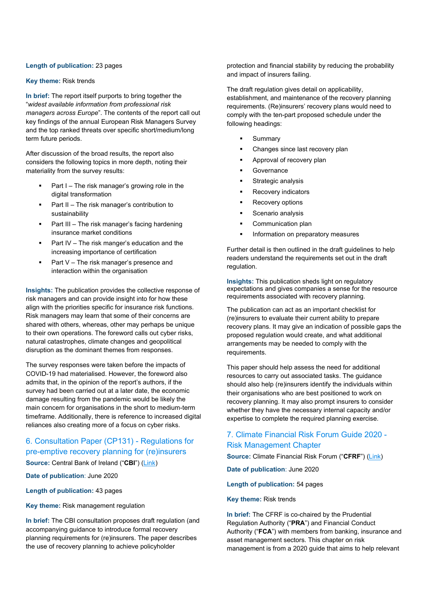#### **Length of publication:** 23 pages

#### **Key theme:** Risk trends

**In brief:** The report itself purports to bring together the "*widest available information from professional risk managers across Europe*". The contents of the report call out key findings of the annual European Risk Managers Survey and the top ranked threats over specific short/medium/long term future periods.

After discussion of the broad results, the report also considers the following topics in more depth, noting their materiality from the survey results:

- Part I The risk manager's growing role in the digital transformation
- Part II The risk manager's contribution to sustainability
- Part III The risk manager's facing hardening insurance market conditions
- Part IV The risk manger's education and the increasing importance of certification
- Part V The risk manager's presence and interaction within the organisation

**Insights:** The publication provides the collective response of risk managers and can provide insight into for how these align with the priorities specific for insurance risk functions. Risk managers may learn that some of their concerns are shared with others, whereas, other may perhaps be unique to their own operations. The foreword calls out cyber risks, natural catastrophes, climate changes and geopolitical disruption as the dominant themes from responses.

The survey responses were taken before the impacts of COVID-19 had materialised. However, the foreword also admits that, in the opinion of the report's authors, if the survey had been carried out at a later date, the economic damage resulting from the pandemic would be likely the main concern for organisations in the short to medium-term timeframe. Additionally, there is reference to increased digital reliances also creating more of a focus on cyber risks.

#### 6. Consultation Paper (CP131) - Regulations for pre-emptive recovery planning for (re)insurers

**Source:** Central Bank of Ireland ("**CBI**") [\(Link\)](https://www.centralbank.ie/docs/default-source/publications/consultation-papers/cp131/cp131---regulations-for-pre-emptive-recovery-planning-for-(re)insurers.pdf?sfvrsn=4)

**Date of publication**: June 2020

**Length of publication:** 43 pages

**Key theme:** Risk management regulation

**In brief:** The CBI consultation proposes draft regulation (and accompanying guidance to introduce formal recovery planning requirements for (re)insurers. The paper describes the use of recovery planning to achieve policyholder

protection and financial stability by reducing the probability and impact of insurers failing.

The draft regulation gives detail on applicability, establishment, and maintenance of the recovery planning requirements. (Re)insurers' recovery plans would need to comply with the ten-part proposed schedule under the following headings:

- Summary
- Changes since last recovery plan
- Approval of recovery plan
- **Governance**
- Strategic analysis
- Recovery indicators
- Recovery options
- Scenario analysis
- Communication plan
- Information on preparatory measures

Further detail is then outlined in the draft guidelines to help readers understand the requirements set out in the draft regulation.

**Insights:** This publication sheds light on regulatory expectations and gives companies a sense for the resource requirements associated with recovery planning.

The publication can act as an important checklist for (re)insurers to evaluate their current ability to prepare recovery plans. It may give an indication of possible gaps the proposed regulation would create, and what additional arrangements may be needed to comply with the requirements.

This paper should help assess the need for additional resources to carry out associated tasks. The guidance should also help (re)insurers identify the individuals within their organisations who are best positioned to work on recovery planning. It may also prompt insurers to consider whether they have the necessary internal capacity and/or expertise to complete the required planning exercise.

### 7. Climate Financial Risk Forum Guide 2020 - Risk Management Chapter

**Source:** Climate Financial Risk Forum ("**CFRF**") [\(Link\)](https://www.fca.org.uk/publication/corporate/climate-financial-risk-forum-guide-2020-risk-management-chapter.pdf)

**Date of publication**: June 2020

**Length of publication:** 54 pages

**Key theme:** Risk trends

**In brief:** The CFRF is co-chaired by the Prudential Regulation Authority ("**PRA**") and Financial Conduct Authority ("**FCA**") with members from banking, insurance and asset management sectors. This chapter on risk management is from a 2020 guide that aims to help relevant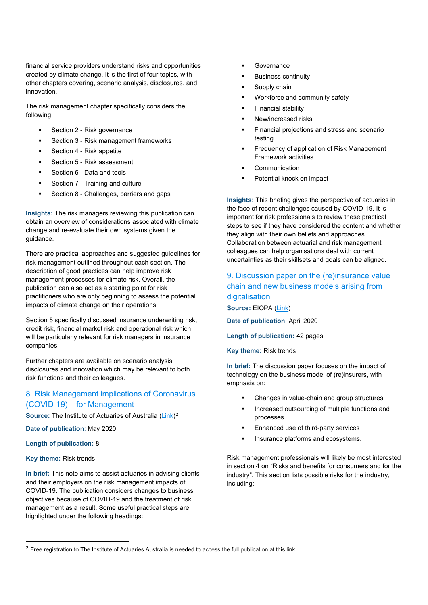financial service providers understand risks and opportunities created by climate change. It is the first of four topics, with other chapters covering, scenario analysis, disclosures, and innovation.

The risk management chapter specifically considers the following:

- **Section 2 Risk governance**
- Section 3 Risk management frameworks
- Section 4 Risk appetite
- Section 5 Risk assessment
- Section 6 Data and tools
- Section 7 Training and culture
- Section 8 Challenges, barriers and gaps

**Insights:** The risk managers reviewing this publication can obtain an overview of considerations associated with climate change and re-evaluate their own systems given the guidance.

There are practical approaches and suggested guidelines for risk management outlined throughout each section. The description of good practices can help improve risk management processes for climate risk. Overall, the publication can also act as a starting point for risk practitioners who are only beginning to assess the potential impacts of climate change on their operations.

Section 5 specifically discussed insurance underwriting risk, credit risk, financial market risk and operational risk which will be particularly relevant for risk managers in insurance companies.

Further chapters are available on scenario analysis, disclosures and innovation which may be relevant to both risk functions and their colleagues.

## 8. Risk Management implications of Coronavirus (COVID-19) – for Management

**Source:** The Institute of Actuaries of Australia [\(Link\)](https://www.actuaries.digital/2020/05/04/pandemic-briefing-risk-management-implications-of-coronavirus/)<sup>[2](#page-3-0)</sup>

**Date of publication**: May 2020

#### **Length of publication:** 8

#### **Key theme:** Risk trends

**In brief:** This note aims to assist actuaries in advising clients and their employers on the risk management impacts of COVID-19. The publication considers changes to business objectives because of COVID-19 and the treatment of risk management as a result. Some useful practical steps are highlighted under the following headings:

- Governance
- Business continuity
- Supply chain
- Workforce and community safety
- Financial stability
- New/increased risks
- Financial projections and stress and scenario testing
- Frequency of application of Risk Management Framework activities
- Communication
- Potential knock on impact

**Insights:** This briefing gives the perspective of actuaries in the face of recent challenges caused by COVID-19. It is important for risk professionals to review these practical steps to see if they have considered the content and whether they align with their own beliefs and approaches. Collaboration between actuarial and risk management colleagues can help organisations deal with current uncertainties as their skillsets and goals can be aligned.

## 9. Discussion paper on the (re)insurance value chain and new business models arising from digitalisation **Source:** EIOPA [\(Link\)](https://www.eiopa.europa.eu/sites/default/files/publications/consultations/discussion-paper-on-insurance-value-chain-and-new-business-models-arising-from-digitalisation.pdf)

**Date of publication**: April 2020

**Length of publication:** 42 pages

**Key theme:** Risk trends

**In brief:** The discussion paper focuses on the impact of technology on the business model of (re)insurers, with emphasis on:

- Changes in value-chain and group structures
- **Increased outsourcing of multiple functions and** processes
- Enhanced use of third-party services
- Insurance platforms and ecosystems.

Risk management professionals will likely be most interested in section 4 on "Risks and benefits for consumers and for the industry". This section lists possible risks for the industry, including:

<span id="page-3-0"></span> $2$  Free registration to The Institute of Actuaries Australia is needed to access the full publication at this link.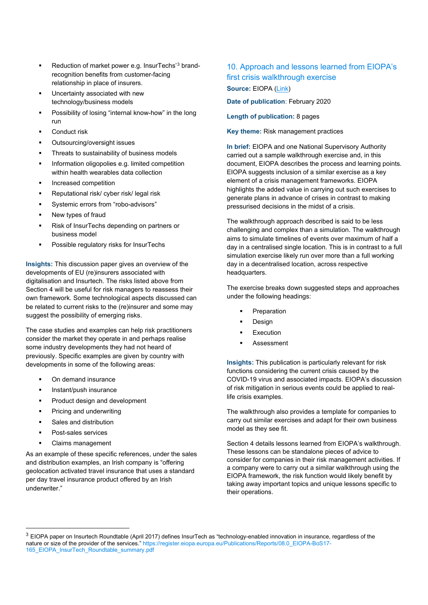- Reduction of market power e.g. InsurTechs'[3](#page-4-0) brandrecognition benefits from customer-facing relationship in place of insurers.
- Uncertainty associated with new technology/business models
- Possibility of losing "internal know-how" in the long run
- Conduct risk
- Outsourcing/oversight issues
- Threats to sustainability of business models
- Information oligopolies e.g. limited competition within health wearables data collection
- Increased competition
- Reputational risk/ cyber risk/ legal risk
- Systemic errors from "robo-advisors"
- New types of fraud
- Risk of InsurTechs depending on partners or business model
- Possible regulatory risks for InsurTechs

**Insights:** This discussion paper gives an overview of the developments of EU (re)insurers associated with digitalisation and Insurtech. The risks listed above from Section 4 will be useful for risk managers to reassess their own framework. Some technological aspects discussed can be related to current risks to the (re)insurer and some may suggest the possibility of emerging risks.

The case studies and examples can help risk practitioners consider the market they operate in and perhaps realise some industry developments they had not heard of previously. Specific examples are given by country with developments in some of the following areas:

- On demand insurance
- Instant/push insurance
- Product design and development
- Pricing and underwriting
- Sales and distribution
- Post-sales services
- Claims management

As an example of these specific references, under the sales and distribution examples, an Irish company is "offering geolocation activated travel insurance that uses a standard per day travel insurance product offered by an Irish underwriter."

## 10. Approach and lessons learned from EIOPA's first crisis walkthrough exercise

**Source:** EIOPA [\(Link\)](https://www.eiopa.europa.eu/sites/default/files/publications/reports/eiopa-19-479_walkthrough_exercise-report.pdf)

**Date of publication**: February 2020

**Length of publication:** 8 pages

**Key theme:** Risk management practices

**In brief:** EIOPA and one National Supervisory Authority carried out a sample walkthrough exercise and, in this document, EIOPA describes the process and learning points. EIOPA suggests inclusion of a similar exercise as a key element of a crisis management frameworks. EIOPA highlights the added value in carrying out such exercises to generate plans in advance of crises in contrast to making pressurised decisions in the midst of a crisis.

The walkthrough approach described is said to be less challenging and complex than a simulation. The walkthrough aims to simulate timelines of events over maximum of half a day in a centralised single location. This is in contrast to a full simulation exercise likely run over more than a full working day in a decentralised location, across respective headquarters.

The exercise breaks down suggested steps and approaches under the following headings:

- Preparation
- Design
- Execution
- Assessment

**Insights:** This publication is particularly relevant for risk functions considering the current crisis caused by the COVID-19 virus and associated impacts. EIOPA's discussion of risk mitigation in serious events could be applied to reallife crisis examples.

The walkthrough also provides a template for companies to carry out similar exercises and adapt for their own business model as they see fit.

Section 4 details lessons learned from EIOPA's walkthrough. These lessons can be standalone pieces of advice to consider for companies in their risk management activities. If a company were to carry out a similar walkthrough using the EIOPA framework, the risk function would likely benefit by taking away important topics and unique lessons specific to their operations.

<span id="page-4-0"></span> $3$  EIOPA paper on Insurtech Roundtable (April 2017) defines InsurTech as "technology-enabled innovation in insurance, regardless of the nature or size of the provider of the services.[" https://register.eiopa.europa.eu/Publications/Reports/08.0\\_EIOPA-BoS17-](https://register.eiopa.europa.eu/Publications/Reports/08.0_EIOPA-BoS17-165_EIOPA_InsurTech_Roundtable_summary.pdf) 165 EIOPA InsurTech Roundtable summary.pdf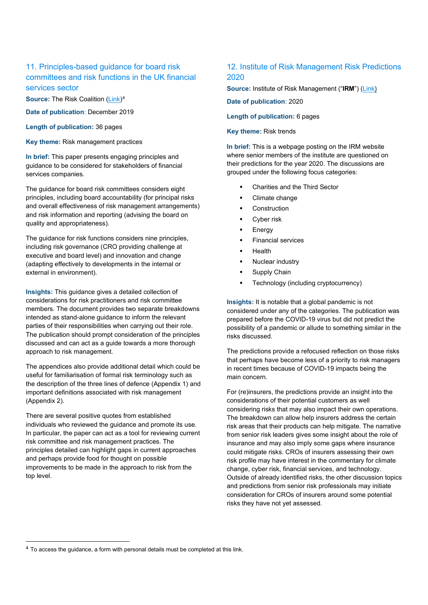## 11. Principles-based guidance for board risk committees and risk functions in the UK financial services sector

**Source:** The Risk Coalition [\(Link\)](https://riskcoalition.org.uk/the-guidance)<sup>[4](#page-5-0)</sup>

**Date of publication**: December 2019

**Length of publication:** 36 pages

**Key theme:** Risk management practices

**In brief:** This paper presents engaging principles and guidance to be considered for stakeholders of financial services companies.

The guidance for board risk committees considers eight principles, including board accountability (for principal risks and overall effectiveness of risk management arrangements) and risk information and reporting (advising the board on quality and appropriateness).

The guidance for risk functions considers nine principles, including risk governance (CRO providing challenge at executive and board level) and innovation and change (adapting effectively to developments in the internal or external in environment).

**Insights:** This guidance gives a detailed collection of considerations for risk practitioners and risk committee members. The document provides two separate breakdowns intended as stand-alone guidance to inform the relevant parties of their responsibilities when carrying out their role. The publication should prompt consideration of the principles discussed and can act as a guide towards a more thorough approach to risk management.

The appendices also provide additional detail which could be useful for familiarisation of formal risk terminology such as the description of the three lines of defence (Appendix 1) and important definitions associated with risk management (Appendix 2).

There are several positive quotes from established individuals who reviewed the guidance and promote its use. In particular, the paper can act as a tool for reviewing current risk committee and risk management practices. The principles detailed can highlight gaps in current approaches and perhaps provide food for thought on possible improvements to be made in the approach to risk from the top level.

### 12. Institute of Risk Management Risk Predictions 2020

**Source:** Institute of Risk Management ("**IRM**") [\(Link\)](https://www.theirm.org/news/irm-risk-predictions-2020/)

**Date of publication**: 2020

**Length of publication:** 6 pages

**Key theme:** Risk trends

**In brief:** This is a webpage posting on the IRM website where senior members of the institute are questioned on their predictions for the year 2020. The discussions are grouped under the following focus categories:

- Charities and the Third Sector
- Climate change
- **Construction**
- **Cyber risk**
- Energy
- Financial services
- Health
- **Nuclear industry**
- Supply Chain
- Technology (including cryptocurrency)

**Insights:** It is notable that a global pandemic is not considered under any of the categories. The publication was prepared before the COVID-19 virus but did not predict the possibility of a pandemic or allude to something similar in the risks discussed.

The predictions provide a refocused reflection on those risks that perhaps have become less of a priority to risk managers in recent times because of COVID-19 impacts being the main concern.

For (re)insurers, the predictions provide an insight into the considerations of their potential customers as well considering risks that may also impact their own operations. The breakdown can allow help insurers address the certain risk areas that their products can help mitigate. The narrative from senior risk leaders gives some insight about the role of insurance and may also imply some gaps where insurance could mitigate risks. CROs of insurers assessing their own risk profile may have interest in the commentary for climate change, cyber risk, financial services, and technology. Outside of already identified risks, the other discussion topics and predictions from senior risk professionals may initiate consideration for CROs of insurers around some potential risks they have not yet assessed.

<span id="page-5-0"></span> $4$  To access the guidance, a form with personal details must be completed at this link.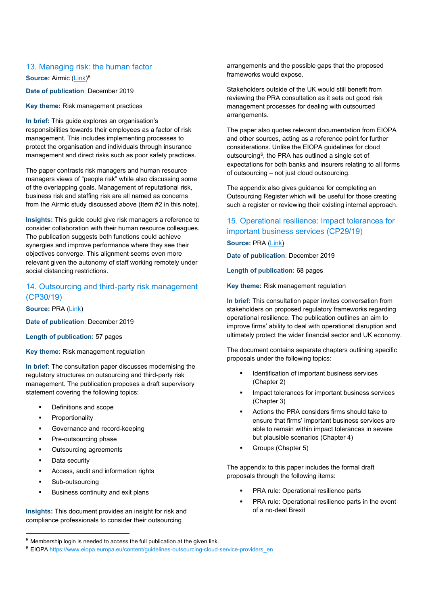#### 13. Managing risk: the human factor

**Source: Airmic [\(Link\)](https://www.airmic.com/technical/library/managing-risk-human-factor)<sup>[5](#page-6-0)</sup>** 

**Date of publication**: December 2019

**Key theme:** Risk management practices

**In brief:** This guide explores an organisation's responsibilities towards their employees as a factor of risk management. This includes implementing processes to protect the organisation and individuals through insurance management and direct risks such as poor safety practices.

The paper contrasts risk managers and human resource managers views of "people risk" while also discussing some of the overlapping goals. Management of reputational risk, business risk and staffing risk are all named as concerns from the Airmic study discussed above (Item #2 in this note).

**Insights:** This guide could give risk managers a reference to consider collaboration with their human resource colleagues. The publication suggests both functions could achieve synergies and improve performance where they see their objectives converge. This alignment seems even more relevant given the autonomy of staff working remotely under social distancing restrictions.

## 14. Outsourcing and third-party risk management (CP30/19)

**Source:** PRA [\(Link\)](https://www.bankofengland.co.uk/-/media/boe/files/prudential-regulation/consultation-paper/2019/cp3019.pdf?la=en&hash=4766BFA4EA8C278BFBE77CADB37C8F34308C97D5)

**Date of publication**: December 2019

**Length of publication:** 57 pages

**Key theme:** Risk management regulation

**In brief:** The consultation paper discusses modernising the regulatory structures on outsourcing and third-party risk management. The publication proposes a draft supervisory statement covering the following topics:

- Definitions and scope
- Proportionality
- Governance and record-keeping
- Pre-outsourcing phase
- Outsourcing agreements
- Data security
- Access, audit and information rights
- Sub-outsourcing
- Business continuity and exit plans

**Insights:** This document provides an insight for risk and compliance professionals to consider their outsourcing

arrangements and the possible gaps that the proposed frameworks would expose.

Stakeholders outside of the UK would still benefit from reviewing the PRA consultation as it sets out good risk management processes for dealing with outsourced arrangements.

The paper also quotes relevant documentation from EIOPA and other sources, acting as a reference point for further considerations. Unlike the EIOPA guidelines for cloud outsourcing[6](#page-6-1), the PRA has outlined a single set of expectations for both banks and insurers relating to all forms of outsourcing – not just cloud outsourcing.

The appendix also gives guidance for completing an Outsourcing Register which will be useful for those creating such a register or reviewing their existing internal approach.

## 15. Operational resilience: Impact tolerances for important business services (CP29/19) **Source:** PRA [\(Link\)](https://www.bankofengland.co.uk/-/media/boe/files/prudential-regulation/consultation-paper/2019/cp2919.pdf?la=en&hash=393834B1FDE05A8571522FD72A6A8D997079714C)

**Date of publication**: December 2019

**Length of publication:** 68 pages

**Key theme:** Risk management regulation

**In brief:** This consultation paper invites conversation from stakeholders on proposed regulatory frameworks regarding operational resilience. The publication outlines an aim to improve firms' ability to deal with operational disruption and ultimately protect the wider financial sector and UK economy.

The document contains separate chapters outlining specific proposals under the following topics:

- Identification of important business services (Chapter 2)
- Impact tolerances for important business services (Chapter 3)
- Actions the PRA considers firms should take to ensure that firms' important business services are able to remain within impact tolerances in severe but plausible scenarios (Chapter 4)
- Groups (Chapter 5)

The appendix to this paper includes the formal draft proposals through the following items:

- PRA rule: Operational resilience parts
- PRA rule: Operational resilience parts in the event of a no-deal Brexit

<span id="page-6-0"></span><sup>5</sup> Membership login is needed to access the full publication at the given link.

<span id="page-6-1"></span><sup>6</sup> EIOPA [https://www.eiopa.europa.eu/content/guidelines-outsourcing-cloud-service-providers\\_en](https://www.eiopa.europa.eu/content/guidelines-outsourcing-cloud-service-providers_en)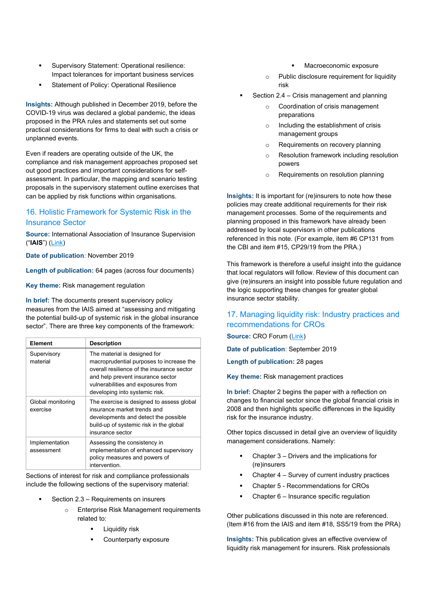- Supervisory Statement: Operational resilience: Impact tolerances for important business services
- Statement of Policy: Operational Resilience

**Insights:** Although published in December 2019, before the COVID-19 virus was declared a global pandemic, the ideas proposed in the PRA rules and statements set out some practical considerations for firms to deal with such a crisis or unplanned events.

Even if readers are operating outside of the UK, the compliance and risk management approaches proposed set out good practices and important considerations for selfassessment. In particular, the mapping and scenario testing proposals in the supervisory statement outline exercises that can be applied by risk functions within organisations.

## 16. Holistic Framework for Systemic Risk in the Insurance Sector

**Source:** International Association of Insurance Supervision ("**IAIS**") [\(Link\)](https://www.iaisweb.org/page/news/press-releases-prior-to-2014/file/87109/holistic-framework-for-systemic-risk)

**Date of publication**: November 2019

**Length of publication:** 64 pages (across four documents)

**Key theme:** Risk management regulation

**In brief:** The documents present supervisory policy measures from the IAIS aimed at "assessing and mitigating the potential build-up of systemic risk in the global insurance sector". There are three key components of the framework:

| <b>Element</b>                | <b>Description</b>                                                                                                                                                                                                                  |
|-------------------------------|-------------------------------------------------------------------------------------------------------------------------------------------------------------------------------------------------------------------------------------|
| Supervisory<br>material       | The material is designed for<br>macroprudential purposes to increase the<br>overall resilience of the insurance sector<br>and help prevent insurance sector<br>vulnerabilities and exposures from<br>developing into systemic risk. |
| Global monitoring<br>exercise | The exercise is designed to assess global<br>insurance market trends and<br>developments and detect the possible<br>build-up of systemic risk in the global<br>insurance sector                                                     |
| Implementation<br>assessment  | Assessing the consistency in<br>implementation of enhanced supervisory<br>policy measures and powers of<br>intervention.                                                                                                            |

Sections of interest for risk and compliance professionals include the following sections of the supervisory material:

- Section 2.3 Requirements on insurers
	- **Enterprise Risk Management requirements** related to:
		- Liquidity risk
		- Counterparty exposure
- Macroeconomic exposure
- o Public disclosure requirement for liquidity risk
- Section 2.4 Crisis management and planning
	- o Coordination of crisis management preparations
	- o Including the establishment of crisis management groups
	- o Requirements on recovery planning
	- o Resolution framework including resolution powers
	- o Requirements on resolution planning

**Insights:** It is important for (re)insurers to note how these policies may create additional requirements for their risk management processes. Some of the requirements and planning proposed in this framework have already been addressed by local supervisors in other publications referenced in this note. (For example, item #6 CP131 from the CBI and item #15, CP29/19 from the PRA.)

This framework is therefore a useful insight into the guidance that local regulators will follow. Review of this document can give (re)insurers an insight into possible future regulation and the logic supporting these changes for greater global insurance sector stability.

## 17. Managing liquidity risk: Industry practices and recommendations for CROs

**Source:** CRO Forum [\(Link\)](https://www.thecroforum.org/2019/09/11/managing-liquidity-risk-industry-practices-and-recommendations-for-cros/)

**Date of publication**: September 2019

**Length of publication:** 28 pages

**Key theme:** Risk management practices

**In brief:** Chapter 2 begins the paper with a reflection on changes to financial sector since the global financial crisis in 2008 and then highlights specific differences in the liquidity risk for the insurance industry.

Other topics discussed in detail give an overview of liquidity management considerations. Namely:

- Chapter 3 Drivers and the implications for (re)insurers
- Chapter 4 Survey of current industry practices
- Chapter 5 Recommendations for CROs
- Chapter 6 Insurance specific regulation

Other publications discussed in this note are referenced. (Item #16 from the IAIS and item #18, SS5/19 from the PRA)

**Insights:** This publication gives an effective overview of liquidity risk management for insurers. Risk professionals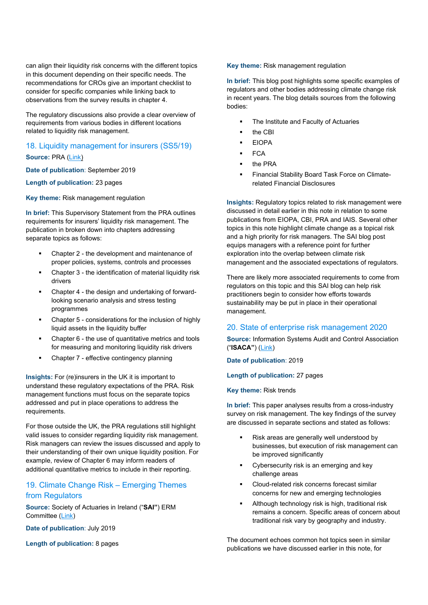can align their liquidity risk concerns with the different topics in this document depending on their specific needs. The recommendations for CROs give an important checklist to consider for specific companies while linking back to observations from the survey results in chapter 4.

The regulatory discussions also provide a clear overview of requirements from various bodies in different locations related to liquidity risk management.

## 18. Liquidity management for insurers (SS5/19)

**Source:** PRA [\(Link\)](https://www.bankofengland.co.uk/-/media/boe/files/prudential-regulation/supervisory-statement/2019/ss519.pdf?la=en&hash=A6691891B85E8C50198E196DF79F40C7A7EC8795)

**Date of publication**: September 2019

**Length of publication:** 23 pages

**Key theme:** Risk management regulation

**In brief:** This Supervisory Statement from the PRA outlines requirements for insurers' liquidity risk management. The publication in broken down into chapters addressing separate topics as follows:

- Chapter 2 the development and maintenance of proper policies, systems, controls and processes
- Chapter 3 the identification of material liquidity risk drivers
- Chapter 4 the design and undertaking of forwardlooking scenario analysis and stress testing programmes
- Chapter 5 considerations for the inclusion of highly liquid assets in the liquidity buffer
- Chapter 6 the use of quantitative metrics and tools for measuring and monitoring liquidity risk drivers
- Chapter 7 effective contingency planning

**Insights:** For (re)insurers in the UK it is important to understand these regulatory expectations of the PRA. Risk management functions must focus on the separate topics addressed and put in place operations to address the requirements.

For those outside the UK, the PRA regulations still highlight valid issues to consider regarding liquidity risk management. Risk managers can review the issues discussed and apply to their understanding of their own unique liquidity position. For example, review of Chapter 6 may inform readers of additional quantitative metrics to include in their reporting.

## 19. Climate Change Risk – Emerging Themes from Regulators

**Source:** Society of Actuaries in Ireland ("**SAI"**) ERM Committee [\(Link\)](https://web.actuaries.ie/press-publications/erm-library/erm-blog/climate-change-risk-emerging-themes-regulators)

**Date of publication**: July 2019

**Length of publication:** 8 pages

**Key theme:** Risk management regulation

**In brief:** This blog post highlights some specific examples of regulators and other bodies addressing climate change risk in recent years. The blog details sources from the following bodies:

- The Institute and Faculty of Actuaries
- the CBI
- EIOPA
- **FCA**
- the PRA
- Financial Stability Board Task Force on Climaterelated Financial Disclosures

**Insights:** Regulatory topics related to risk management were discussed in detail earlier in this note in relation to some publications from EIOPA, CBI, PRA and IAIS. Several other topics in this note highlight climate change as a topical risk and a high priority for risk managers. The SAI blog post equips managers with a reference point for further exploration into the overlap between climate risk management and the associated expectations of regulators.

There are likely more associated requirements to come from regulators on this topic and this SAI blog can help risk practitioners begin to consider how efforts towards sustainability may be put in place in their operational management.

#### 20. State of enterprise risk management 2020

**Source:** Information Systems Audit and Control Association ("**ISACA"**) [\(Link\)](https://www.isaca.org/-/media/info/state-of-enterprise-risk-management-survey/index.html)

**Date of publication**: 2019

**Length of publication:** 27 pages

**Key theme:** Risk trends

**In brief:** This paper analyses results from a cross-industry survey on risk management. The key findings of the survey are discussed in separate sections and stated as follows:

- Risk areas are generally well understood by businesses, but execution of risk management can be improved significantly
- Cybersecurity risk is an emerging and key challenge areas
- Cloud-related risk concerns forecast similar concerns for new and emerging technologies
- Although technology risk is high, traditional risk remains a concern. Specific areas of concern about traditional risk vary by geography and industry.

The document echoes common hot topics seen in similar publications we have discussed earlier in this note, for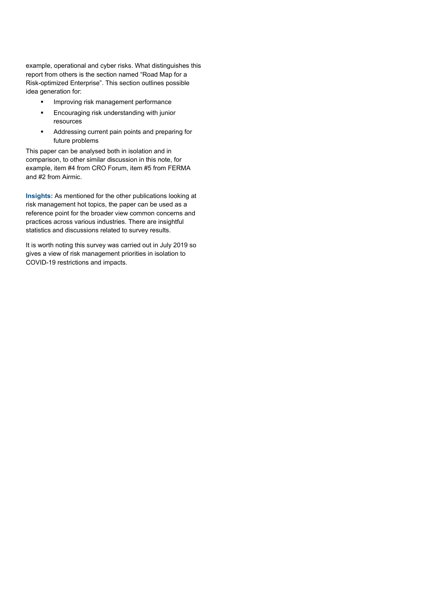example, operational and cyber risks. What distinguishes this report from others is the section named "Road Map for a Risk-optimized Enterprise". This section outlines possible idea generation for:

- **IMPROVING READ FIGURE 19 IMPROVING In**
- Encouraging risk understanding with junior resources
- **Addressing current pain points and preparing for** future problems

This paper can be analysed both in isolation and in comparison, to other similar discussion in this note, for example, item #4 from CRO Forum, item #5 from FERMA and #2 from Airmic.

**Insights:** As mentioned for the other publications looking at risk management hot topics, the paper can be used as a reference point for the broader view common concerns and practices across various industries. There are insightful statistics and discussions related to survey results.

It is worth noting this survey was carried out in July 2019 so gives a view of risk management priorities in isolation to COVID-19 restrictions and impacts.